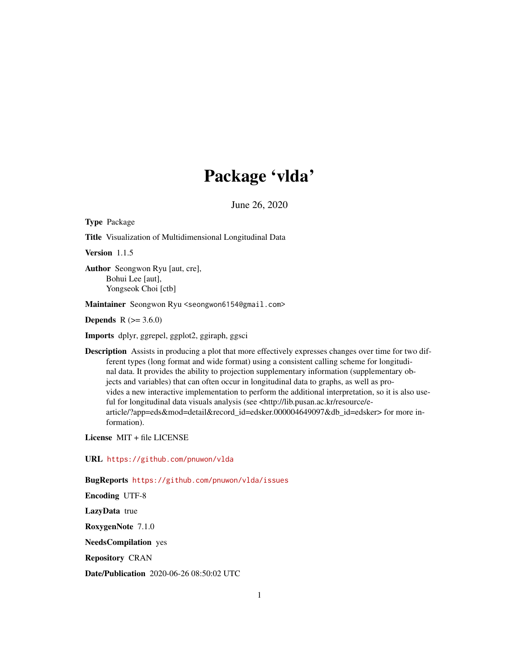# Package 'vlda'

June 26, 2020

Type Package

Title Visualization of Multidimensional Longitudinal Data

Version 1.1.5

Author Seongwon Ryu [aut, cre], Bohui Lee [aut], Yongseok Choi [ctb]

Maintainer Seongwon Ryu <seongwon6154@gmail.com>

**Depends**  $R (= 3.6.0)$ 

Imports dplyr, ggrepel, ggplot2, ggiraph, ggsci

Description Assists in producing a plot that more effectively expresses changes over time for two different types (long format and wide format) using a consistent calling scheme for longitudinal data. It provides the ability to projection supplementary information (supplementary objects and variables) that can often occur in longitudinal data to graphs, as well as provides a new interactive implementation to perform the additional interpretation, so it is also useful for longitudinal data visuals analysis (see <http://lib.pusan.ac.kr/resource/earticle/?app=eds&mod=detail&record\_id=edsker.000004649097&db\_id=edsker> for more information).

License MIT + file LICENSE

URL <https://github.com/pnuwon/vlda>

BugReports <https://github.com/pnuwon/vlda/issues>

Encoding UTF-8

LazyData true

RoxygenNote 7.1.0

NeedsCompilation yes

Repository CRAN

Date/Publication 2020-06-26 08:50:02 UTC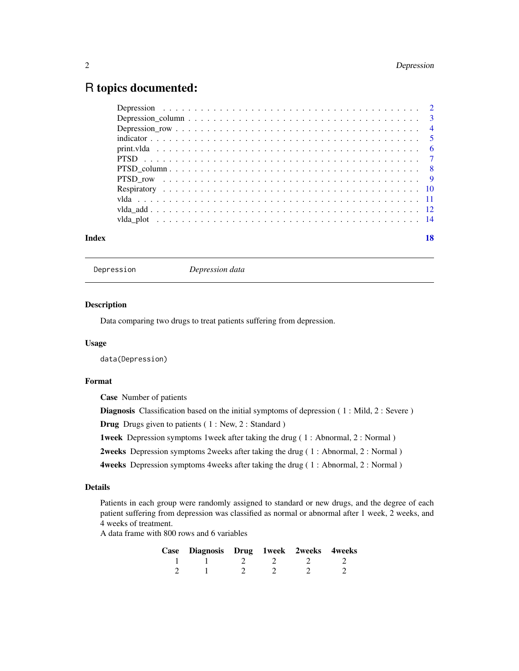# <span id="page-1-0"></span>R topics documented:

| Index | 18 |
|-------|----|

| Depression |  |
|------------|--|
|            |  |

Depression *Depression data*

#### Description

Data comparing two drugs to treat patients suffering from depression.

#### Usage

data(Depression)

# Format

Case Number of patients

Diagnosis Classification based on the initial symptoms of depression (1: Mild, 2: Severe)

Drug Drugs given to patients ( 1 : New, 2 : Standard )

1week Depression symptoms 1week after taking the drug ( 1 : Abnormal, 2 : Normal )

2weeks Depression symptoms 2weeks after taking the drug ( 1 : Abnormal, 2 : Normal )

4weeks Depression symptoms 4weeks after taking the drug ( 1 : Abnormal, 2 : Normal )

#### Details

Patients in each group were randomly assigned to standard or new drugs, and the degree of each patient suffering from depression was classified as normal or abnormal after 1 week, 2 weeks, and 4 weeks of treatment.

A data frame with 800 rows and 6 variables

| Case Diagnosis Drug 1week 2weeks 4weeks |  |  |
|-----------------------------------------|--|--|
|                                         |  |  |
|                                         |  |  |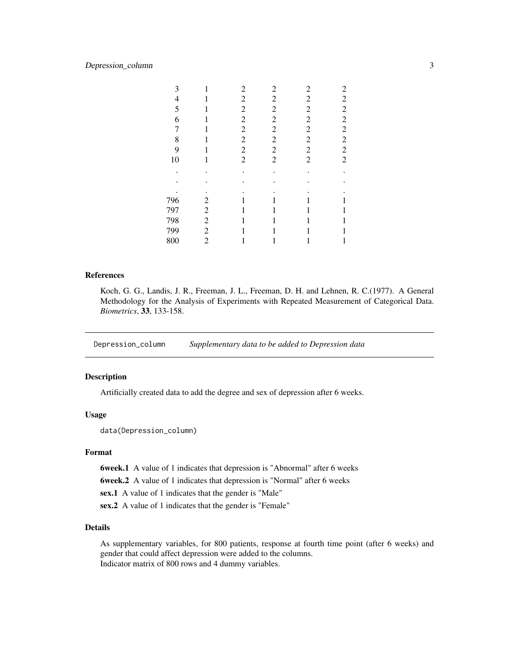# <span id="page-2-0"></span>Depression\_column 3

| 3   | 1              | 2              | 2              | 2              | 2                       |
|-----|----------------|----------------|----------------|----------------|-------------------------|
| 4   |                | 2              | 2              | $\overline{c}$ | 2                       |
| 5   |                | $\overline{c}$ | $\overline{c}$ | $\overline{c}$ | $\overline{c}$          |
| 6   |                | $\overline{c}$ | $\overline{c}$ | $\overline{c}$ | $\overline{\mathbf{c}}$ |
| 7   | 1              | $\overline{c}$ | $\overline{c}$ | $\overline{c}$ | $\overline{c}$          |
| 8   |                | $\overline{c}$ | $\overline{c}$ | $\overline{c}$ | $\overline{c}$          |
| 9   |                | 2              | $\overline{c}$ | $\overline{c}$ | $\overline{c}$          |
| 10  | 1              | $\overline{2}$ | $\overline{2}$ | $\overline{c}$ | $\overline{c}$          |
|     |                |                |                |                |                         |
|     |                |                |                |                |                         |
|     |                |                |                |                |                         |
| 796 | 2              |                |                |                |                         |
| 797 | 2              |                |                |                |                         |
| 798 | 2              |                |                |                |                         |
| 799 | $\overline{c}$ |                |                |                |                         |
| 800 | $\overline{c}$ |                |                |                | 1                       |
|     |                |                |                |                |                         |

# References

Koch, G. G., Landis, J. R., Freeman, J. L., Freeman, D. H. and Lehnen, R. C.(1977). A General Methodology for the Analysis of Experiments with Repeated Measurement of Categorical Data. *Biometrics*, 33, 133-158.

Depression\_column *Supplementary data to be added to Depression data*

# Description

Artificially created data to add the degree and sex of depression after 6 weeks.

# Usage

```
data(Depression_column)
```
# Format

6week.1 A value of 1 indicates that depression is "Abnormal" after 6 weeks

6week.2 A value of 1 indicates that depression is "Normal" after 6 weeks

sex.1 A value of 1 indicates that the gender is "Male"

sex.2 A value of 1 indicates that the gender is "Female"

#### Details

As supplementary variables, for 800 patients, response at fourth time point (after 6 weeks) and gender that could affect depression were added to the columns. Indicator matrix of 800 rows and 4 dummy variables.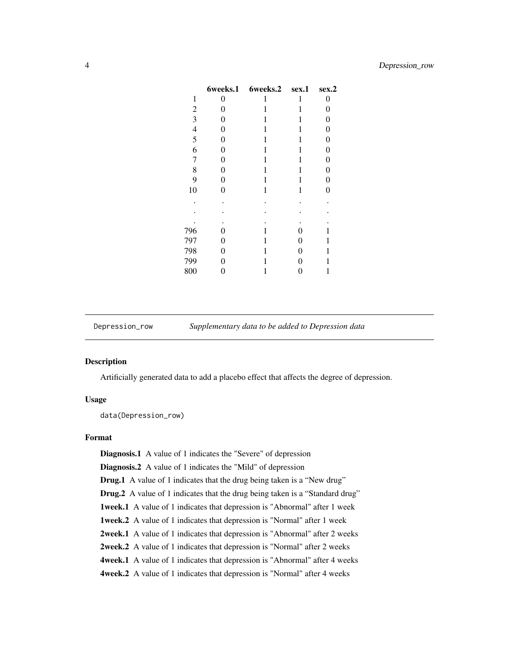<span id="page-3-0"></span>

|                | 6weeks.1 | 6weeks.2 | sex.1 | sex.2            |
|----------------|----------|----------|-------|------------------|
| 1              | 0        | 1        | 1     | 0                |
| $\overline{c}$ | 0        | 1        | 1     | 0                |
| 3              | 0        | 1        | 1     | $\boldsymbol{0}$ |
| $\overline{4}$ | 0        | 1        | 1     | 0                |
| 5              | 0        | 1        | 1     | 0                |
| 6              | 0        | 1        | 1     | 0                |
| 7              | 0        | 1        | 1     | 0                |
| 8              | $\theta$ | 1        | 1     | 0                |
| 9              | $\theta$ | 1        | 1     | $\overline{0}$   |
| 10             | $\theta$ | 1        | 1     | $\overline{0}$   |
|                | ٠        |          |       |                  |
|                |          |          |       |                  |
|                |          |          |       |                  |
| 796            | 0        | 1        | 0     | 1                |
| 797            | 0        | 1        | 0     | 1                |
| 798            | 0        | 1        | 0     | 1                |
| 799            | 0        | 1        | 0     | 1                |
| 800            | 0        | 1        | 0     | 1                |

Depression\_row *Supplementary data to be added to Depression data*

# Description

Artificially generated data to add a placebo effect that affects the degree of depression.

## Usage

data(Depression\_row)

# Format

Diagnosis.1 A value of 1 indicates the "Severe" of depression Diagnosis.2 A value of 1 indicates the "Mild" of depression Drug.1 A value of 1 indicates that the drug being taken is a "New drug" Drug.2 A value of 1 indicates that the drug being taken is a "Standard drug" 1week.1 A value of 1 indicates that depression is "Abnormal" after 1 week 1week.2 A value of 1 indicates that depression is "Normal" after 1 week 2week.1 A value of 1 indicates that depression is "Abnormal" after 2 weeks 2week.2 A value of 1 indicates that depression is "Normal" after 2 weeks 4week.1 A value of 1 indicates that depression is "Abnormal" after 4 weeks 4week.2 A value of 1 indicates that depression is "Normal" after 4 weeks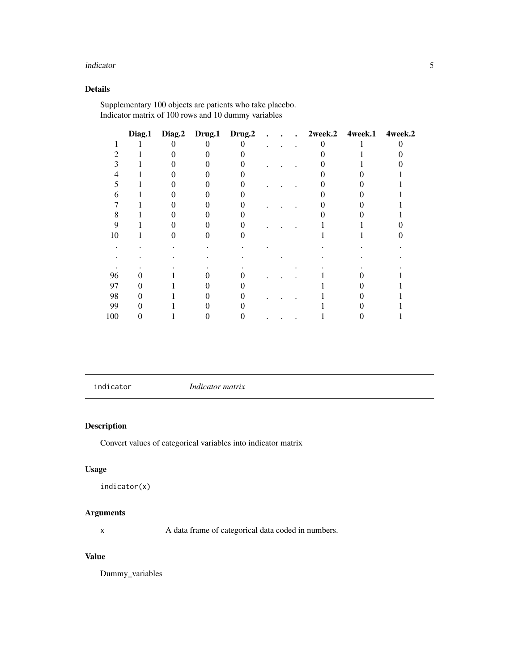#### <span id="page-4-0"></span>indicator 5

# Details

Supplementary 100 objects are patients who take placebo. Indicator matrix of 100 rows and 10 dummy variables

|     |  | Diag.1 Diag.2 Drug.1 Drug.2 |  |  | 2week.2 4week.1 4week.2 |  |
|-----|--|-----------------------------|--|--|-------------------------|--|
|     |  |                             |  |  |                         |  |
|     |  |                             |  |  |                         |  |
|     |  |                             |  |  |                         |  |
|     |  |                             |  |  |                         |  |
|     |  |                             |  |  |                         |  |
|     |  |                             |  |  |                         |  |
|     |  |                             |  |  |                         |  |
| 8   |  |                             |  |  |                         |  |
| q   |  |                             |  |  |                         |  |
| 10  |  |                             |  |  |                         |  |
|     |  |                             |  |  |                         |  |
|     |  |                             |  |  |                         |  |
|     |  |                             |  |  |                         |  |
| 96  |  |                             |  |  |                         |  |
| 97  |  |                             |  |  |                         |  |
| 98  |  |                             |  |  |                         |  |
| 99  |  |                             |  |  |                         |  |
| 100 |  |                             |  |  |                         |  |

<span id="page-4-1"></span>indicator *Indicator matrix*

# Description

Convert values of categorical variables into indicator matrix

# Usage

```
indicator(x)
```
# Arguments

x A data frame of categorical data coded in numbers.

# Value

Dummy\_variables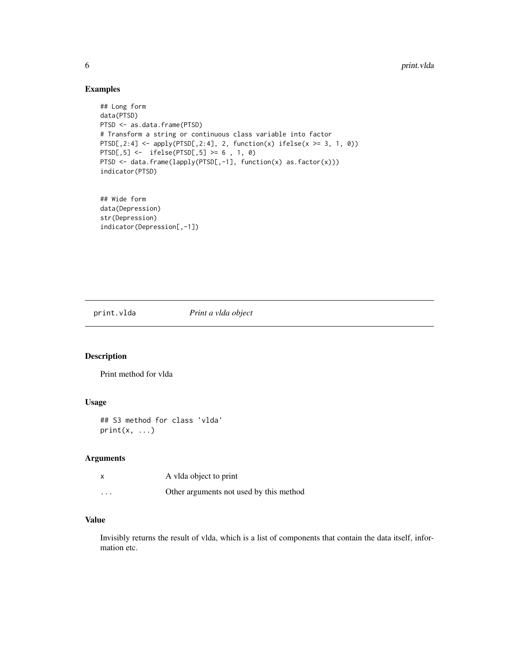# Examples

```
## Long form
data(PTSD)
PTSD <- as.data.frame(PTSD)
# Transform a string or continuous class variable into factor
PTSD[,2:4] <- apply(PTSD[,2:4], 2, function(x) ifelse(x >= 3, 1, 0))PTSD[,5] <- ifelse(PTSD[,5] >= 6 , 1, 0)
PTSD <- data.frame(lapply(PTSD[,-1], function(x) as.factor(x)))
indicator(PTSD)
## Wide form
```
data(Depression) str(Depression) indicator(Depression[,-1])

print.vlda *Print a vlda object*

# Description

Print method for vlda

# Usage

```
## S3 method for class 'vlda'
print(x, \ldots)
```
#### Arguments

|          | A vida object to print                  |
|----------|-----------------------------------------|
| $\cdots$ | Other arguments not used by this method |

# Value

Invisibly returns the result of vlda, which is a list of components that contain the data itself, information etc.

<span id="page-5-0"></span>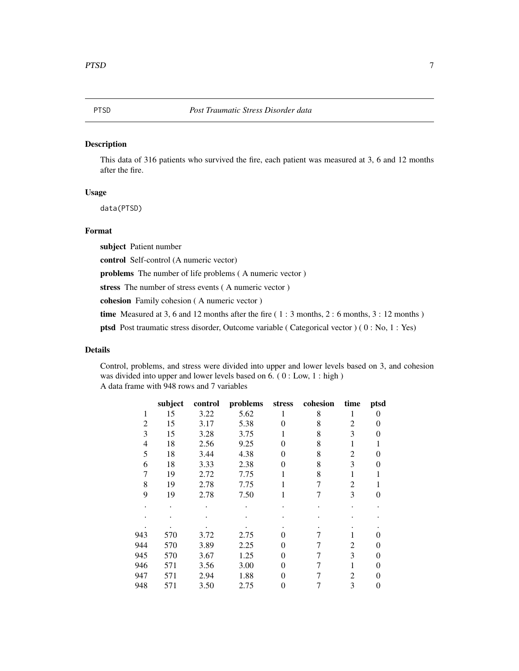# <span id="page-6-0"></span>Description

This data of 316 patients who survived the fire, each patient was measured at 3, 6 and 12 months after the fire.

#### Usage

data(PTSD)

# Format

subject Patient number

control Self-control (A numeric vector)

problems The number of life problems ( A numeric vector )

stress The number of stress events ( A numeric vector )

cohesion Family cohesion ( A numeric vector )

time Measured at 3, 6 and 12 months after the fire  $(1:3$  months,  $2:6$  months,  $3:12$  months)

ptsd Post traumatic stress disorder, Outcome variable ( Categorical vector ) ( 0 : No, 1 : Yes)

#### Details

Control, problems, and stress were divided into upper and lower levels based on 3, and cohesion was divided into upper and lower levels based on 6. ( 0 : Low, 1 : high ) A data frame with 948 rows and 7 variables

| subject | control | problems | stress | cohesion | time | ptsd     |
|---------|---------|----------|--------|----------|------|----------|
| 15      | 3.22    | 5.62     |        | 8        | 1    | $\theta$ |
| 15      | 3.17    | 5.38     | 0      | 8        | 2    | 0        |
| 15      | 3.28    | 3.75     |        | 8        | 3    | 0        |
| 18      | 2.56    | 9.25     | 0      | 8        |      |          |
| 18      | 3.44    | 4.38     | 0      | 8        | 2    | 0        |
| 18      | 3.33    | 2.38     | 0      | 8        | 3    | 0        |
| 19      | 2.72    | 7.75     |        | 8        |      |          |
| 19      | 2.78    | 7.75     |        | 7        | 2    |          |
| 19      | 2.78    | 7.50     |        |          | 3    | 0        |
|         |         |          |        |          |      |          |
|         |         |          |        |          |      |          |
|         |         |          |        |          |      |          |
| 570     |         |          | 0      |          |      |          |
| 570     | 3.89    | 2.25     | 0      |          | 2    | 0        |
| 570     | 3.67    | 1.25     | 0      |          | 3    | 0        |
| 571     | 3.56    | 3.00     | 0      |          |      | 0        |
| 571     | 2.94    | 1.88     | 0      |          | 2    | $\Omega$ |
| 571     | 3.50    | 2.75     | 0      |          | 3    | 0        |
|         |         | 3.72     | 2.75   |          |      |          |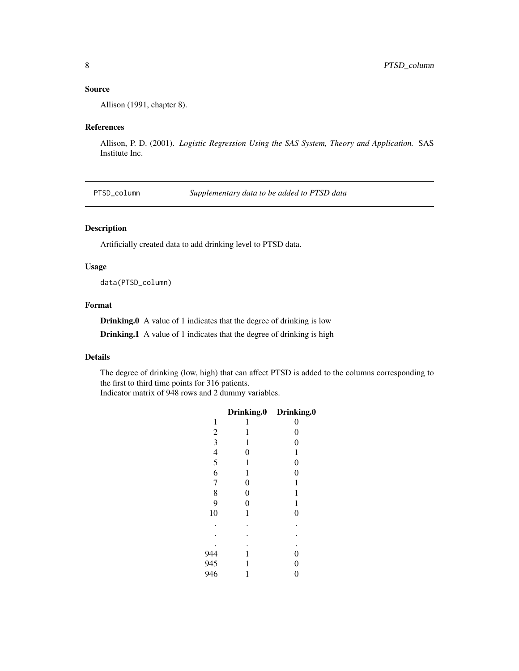# <span id="page-7-0"></span>Source

Allison (1991, chapter 8).

#### References

Allison, P. D. (2001). *Logistic Regression Using the SAS System, Theory and Application.* SAS Institute Inc.

PTSD\_column *Supplementary data to be added to PTSD data*

# Description

Artificially created data to add drinking level to PTSD data.

# Usage

data(PTSD\_column)

# Format

Drinking.0 A value of 1 indicates that the degree of drinking is low

Drinking.1 A value of 1 indicates that the degree of drinking is high

# Details

The degree of drinking (low, high) that can affect PTSD is added to the columns corresponding to the first to third time points for 316 patients.

Indicator matrix of 948 rows and 2 dummy variables.

|                | <b>Drinking.0</b> | Drinking.0       |
|----------------|-------------------|------------------|
| 1              | 1                 | 0                |
| $\overline{c}$ | 1                 | $\boldsymbol{0}$ |
|                | 1                 | $\overline{0}$   |
|                | $\overline{0}$    | 1                |
| 3456           | 1                 | $\boldsymbol{0}$ |
|                | $\mathbf{1}$      | $\overline{0}$   |
| $\overline{7}$ | $\boldsymbol{0}$  | 1                |
| 8              | $\boldsymbol{0}$  | 1                |
| 9              | $\boldsymbol{0}$  | 1                |
| 10             | 1                 | $\overline{0}$   |
|                |                   |                  |
|                |                   |                  |
|                |                   |                  |
| 944            | 1                 | $\boldsymbol{0}$ |
| 945            | 1                 | $\overline{0}$   |
| 946            | 1                 | $\overline{0}$   |
|                |                   |                  |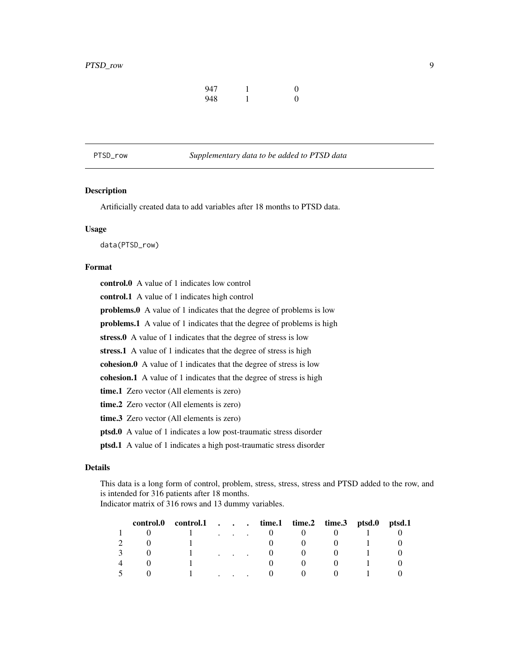| 947 | $\theta$ |
|-----|----------|
| 948 | $\theta$ |

<span id="page-8-0"></span>PTSD\_row *Supplementary data to be added to PTSD data*

# Description

Artificially created data to add variables after 18 months to PTSD data.

#### Usage

data(PTSD\_row)

#### Format

control.0 A value of 1 indicates low control control.1 A value of 1 indicates high control problems.0 A value of 1 indicates that the degree of problems is low problems.1 A value of 1 indicates that the degree of problems is high stress.0 A value of 1 indicates that the degree of stress is low stress.1 A value of 1 indicates that the degree of stress is high cohesion.0 A value of 1 indicates that the degree of stress is low cohesion.1 A value of 1 indicates that the degree of stress is high time.1 Zero vector (All elements is zero) time.2 Zero vector (All elements is zero) time.3 Zero vector (All elements is zero) ptsd.0 A value of 1 indicates a low post-traumatic stress disorder ptsd.1 A value of 1 indicates a high post-traumatic stress disorder

#### Details

This data is a long form of control, problem, stress, stress, stress and PTSD added to the row, and is intended for 316 patients after 18 months.

Indicator matrix of 316 rows and 13 dummy variables.

|   | control.0 control.1 time.1 time.2 time.3 ptsd.0 ptsd.1 |                         |  |  |  |
|---|--------------------------------------------------------|-------------------------|--|--|--|
|   |                                                        | $\cdot$ $\cdot$ $\cdot$ |  |  |  |
|   |                                                        |                         |  |  |  |
|   |                                                        |                         |  |  |  |
| 4 |                                                        |                         |  |  |  |
|   |                                                        |                         |  |  |  |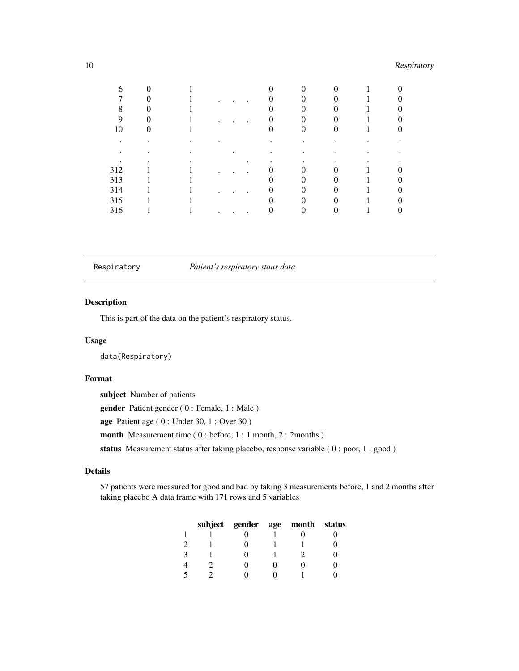# <span id="page-9-0"></span>10 Respiratory

| 6   |  |  |  |  |  |
|-----|--|--|--|--|--|
|     |  |  |  |  |  |
| 8   |  |  |  |  |  |
| 9   |  |  |  |  |  |
| 10  |  |  |  |  |  |
|     |  |  |  |  |  |
|     |  |  |  |  |  |
|     |  |  |  |  |  |
| 312 |  |  |  |  |  |
| 313 |  |  |  |  |  |
| 314 |  |  |  |  |  |
| 315 |  |  |  |  |  |
| 316 |  |  |  |  |  |

Respiratory *Patient's respiratory staus data*

# Description

This is part of the data on the patient's respiratory status.

# Usage

data(Respiratory)

### Format

subject Number of patients gender Patient gender ( 0 : Female, 1 : Male ) age Patient age ( 0 : Under 30, 1 : Over 30 ) month Measurement time (0: before, 1: 1 month, 2: 2months) status Measurement status after taking placebo, response variable (0 : poor, 1 : good)

# Details

57 patients were measured for good and bad by taking 3 measurements before, 1 and 2 months after taking placebo A data frame with 171 rows and 5 variables

|  | subject gender age | month | status |
|--|--------------------|-------|--------|
|  |                    |       |        |
|  |                    |       |        |
|  |                    |       |        |
|  |                    |       |        |
|  |                    |       |        |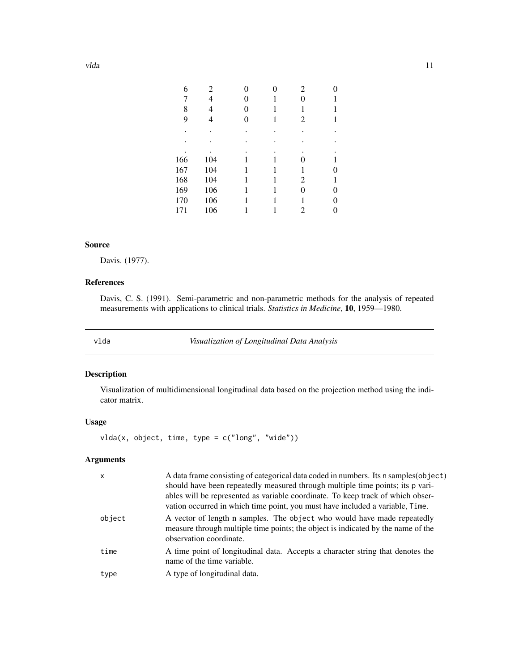<span id="page-10-0"></span>

| 6   | 2   |   | 0 | 2 | 0 |
|-----|-----|---|---|---|---|
| 7   | 4   | 0 | 1 |   |   |
| 8   | 4   | 0 |   | 1 |   |
| 9   |     | 0 | 1 | 2 |   |
|     |     |   |   |   |   |
|     |     |   |   |   |   |
|     |     |   |   |   |   |
| 166 | 104 |   |   |   |   |
| 167 | 104 |   | 1 | 1 | 0 |
| 168 | 104 |   |   | 2 |   |
| 169 | 106 |   |   | 0 | 0 |
| 170 | 106 |   |   | 1 | 0 |
| 171 | 106 |   |   | 2 | 0 |
|     |     |   |   |   |   |

# Source

Davis. (1977).

# References

Davis, C. S. (1991). Semi-parametric and non-parametric methods for the analysis of repeated measurements with applications to clinical trials. *Statistics in Medicine*, 10, 1959—1980.

<span id="page-10-1"></span>vlda *Visualization of Longitudinal Data Analysis*

# Description

Visualization of multidimensional longitudinal data based on the projection method using the indicator matrix.

# Usage

vlda(x, object, time, type = c("long", "wide"))

# Arguments

| $\mathsf{x}$ | A data frame consisting of categorical data coded in numbers. Its n samples (object)<br>should have been repeatedly measured through multiple time points; its p vari-<br>ables will be represented as variable coordinate. To keep track of which obser-<br>vation occurred in which time point, you must have included a variable, Time. |
|--------------|--------------------------------------------------------------------------------------------------------------------------------------------------------------------------------------------------------------------------------------------------------------------------------------------------------------------------------------------|
| object       | A vector of length n samples. The object who would have made repeatedly<br>measure through multiple time points; the object is indicated by the name of the<br>observation coordinate.                                                                                                                                                     |
| time         | A time point of longitudinal data. Accepts a character string that denotes the<br>name of the time variable.                                                                                                                                                                                                                               |
| type         | A type of longitudinal data.                                                                                                                                                                                                                                                                                                               |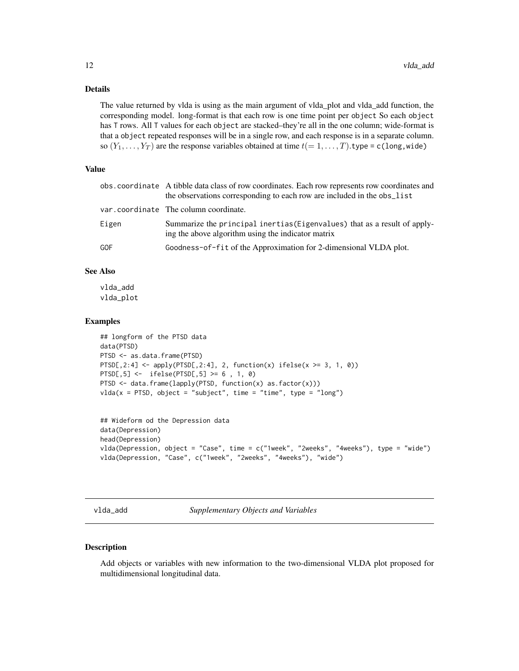# <span id="page-11-0"></span>Details

The value returned by vlda is using as the main argument of vlda\_plot and vlda\_add function, the corresponding model. long-format is that each row is one time point per object So each object has T rows. All T values for each object are stacked–they're all in the one column; wide-format is that a object repeated responses will be in a single row, and each response is in a separate column. so  $(Y_1, \ldots, Y_T)$  are the response variables obtained at time  $t(= 1, \ldots, T)$ .type = c(long, wide)

# Value

|       | obs. coordinate A tibble data class of row coordinates. Each row represents row coordinates and<br>the observations corresponding to each row are included in the obs_list |
|-------|----------------------------------------------------------------------------------------------------------------------------------------------------------------------------|
|       | var.coordinate The column coordinate.                                                                                                                                      |
| Eigen | Summarize the principal inertias (Eigenvalues) that as a result of apply-<br>ing the above algorithm using the indicator matrix                                            |
| GOF   | Goodness-of-fit of the Approximation for 2-dimensional VLDA plot.                                                                                                          |

# See Also

vlda\_add vlda\_plot

#### Examples

```
## longform of the PTSD data
data(PTSD)
PTSD <- as.data.frame(PTSD)
PTSD[,2:4] \leftarrow apply(PTSD[,2:4], 2, function(x) ifelse(x \geq 3, 1, 0))
PTSD[,5] <- ifelse(PTSD[,5] >= 6 , 1, 0)
PTSD <- data.frame(lapply(PTSD, function(x) as.factor(x)))
vlda(x = PTSD, object = "subject", time = "time", type = "long")
```

```
## Wideform od the Depression data
data(Depression)
head(Depression)
vlda(Depression, object = "Case", time = c("1week", "2weeks", "4weeks"), type = "wide")
vlda(Depression, "Case", c("1week", "2weeks", "4weeks"), "wide")
```
vlda\_add *Supplementary Objects and Variables*

#### Description

Add objects or variables with new information to the two-dimensional VLDA plot proposed for multidimensional longitudinal data.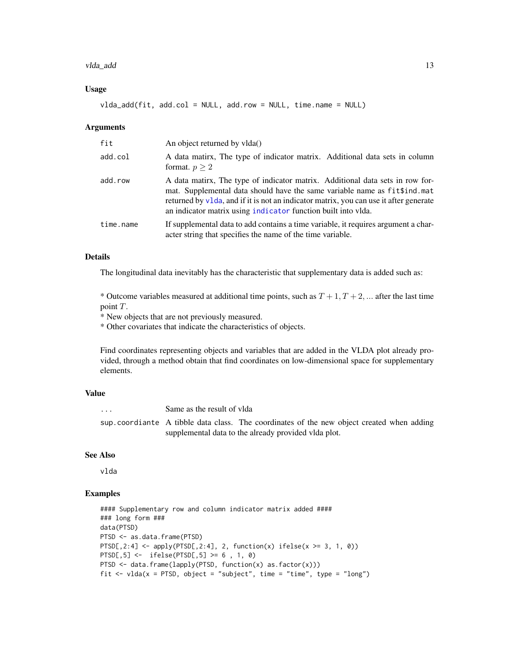#### <span id="page-12-0"></span>vlda\_add 13

#### Usage

 $vlda\_add(fit, add,col = NULL, addrow = NULL, time.name = NULL)$ 

#### Arguments

| fit       | An object returned by vlda()                                                                                                                                                                                                                                                                                         |  |
|-----------|----------------------------------------------------------------------------------------------------------------------------------------------------------------------------------------------------------------------------------------------------------------------------------------------------------------------|--|
| add.col   | A data matirx, The type of indicator matrix. Additional data sets in column<br>format. $p > 2$                                                                                                                                                                                                                       |  |
| add.row   | A data matirx, The type of indicator matrix. Additional data sets in row for-<br>mat. Supplemental data should have the same variable name as fit\$ind.mat<br>returned by v1da, and if it is not an indicator matrix, you can use it after generate<br>an indicator matrix using indicator function built into vlda. |  |
| time.name | If supplemental data to add contains a time variable, it requires argument a char-<br>acter string that specifies the name of the time variable.                                                                                                                                                                     |  |

# Details

The longitudinal data inevitably has the characteristic that supplementary data is added such as:

\* Outcome variables measured at additional time points, such as  $T + 1, T + 2, \dots$  after the last time point T.

\* New objects that are not previously measured.

\* Other covariates that indicate the characteristics of objects.

Find coordinates representing objects and variables that are added in the VLDA plot already provided, through a method obtain that find coordinates on low-dimensional space for supplementary elements.

#### Value

... Same as the result of vlda sup.coordiante A tibble data class. The coordinates of the new object created when adding supplemental data to the already provided vlda plot.

#### See Also

vlda

# Examples

```
#### Supplementary row and column indicator matrix added ####
### long form ###
data(PTSD)
PTSD <- as.data.frame(PTSD)
PTSD[,2:4] \leftarrow apply(PTSD[,2:4], 2, function(x) ifelse(x \geq 3, 1, 0))
PTSD[,5] <- ifelse(PTSD[,5] >= 6 , 1, 0)
PTSD <- data.frame(lapply(PTSD, function(x) as.factor(x)))
fit \le vlda(x = PTSD, object = "subject", time = "time", type = "long")
```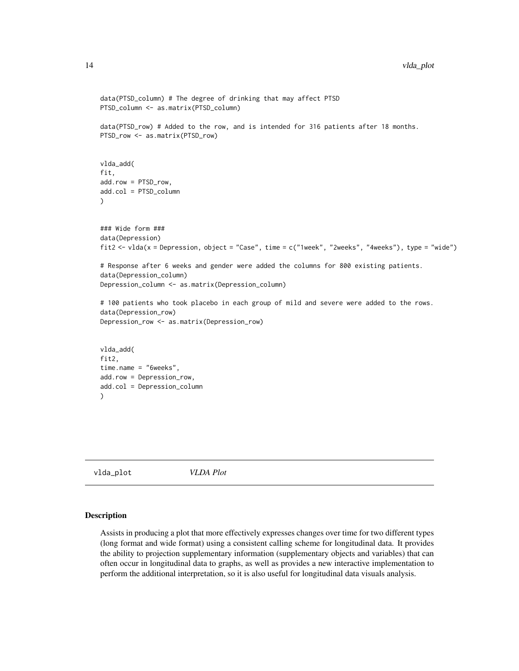```
data(PTSD_column) # The degree of drinking that may affect PTSD
PTSD_column <- as.matrix(PTSD_column)
data(PTSD_row) # Added to the row, and is intended for 316 patients after 18 months.
PTSD_row <- as.matrix(PTSD_row)
vlda_add(
fit,
add.row = PTSD_row,
add.col = PTSD_column
)
### Wide form ###
data(Depression)
fit2 <- vlda(x = Depression, object = "Case", time = c("1week", "2weeks", "4weeks"), type = "wide")
# Response after 6 weeks and gender were added the columns for 800 existing patients.
data(Depression_column)
Depression_column <- as.matrix(Depression_column)
# 100 patients who took placebo in each group of mild and severe were added to the rows.
data(Depression_row)
Depression_row <- as.matrix(Depression_row)
vlda_add(
fit2,
time.name = "6weeks",
add.row = Depression_row,
add.col = Depression_column
\mathcal{L}
```
vlda\_plot *VLDA Plot*

#### Description

Assists in producing a plot that more effectively expresses changes over time for two different types (long format and wide format) using a consistent calling scheme for longitudinal data. It provides the ability to projection supplementary information (supplementary objects and variables) that can often occur in longitudinal data to graphs, as well as provides a new interactive implementation to perform the additional interpretation, so it is also useful for longitudinal data visuals analysis.

<span id="page-13-0"></span>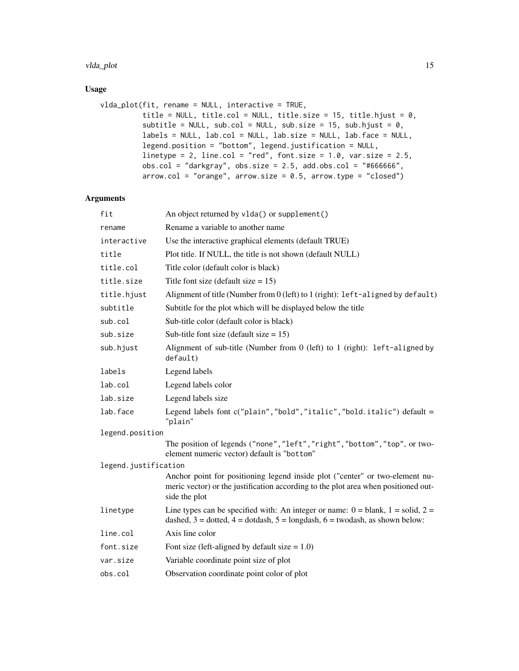#### vlda\_plot 15

# Usage

```
vlda_plot(fit, rename = NULL, interactive = TRUE,
         title = NULL, title.col = NULL, title.size = 15, title.hjust = 0,
         subtitle = NULL, sub.col = NULL, sub.size = 15, sub.hjust = 0,
         labels = NULL, lab.col = NULL, lab.size = NULL, lab.face = NULL,
         legend.position = "bottom", legend.justification = NULL,
         linetype = 2, line.col = "red", font.size = 1.0, var.size = 2.5,
         obs.col = "darkgray", obs.size = 2.5, add.obs.col = "#66666",arrow.col = "orange", arrow.size = 0.5, arrow.type = "closed")
```
#### Arguments

| fit                  | An object returned by vlda() or supplement()                                                                                                                                        |  |
|----------------------|-------------------------------------------------------------------------------------------------------------------------------------------------------------------------------------|--|
| rename               | Rename a variable to another name                                                                                                                                                   |  |
| interactive          | Use the interactive graphical elements (default TRUE)                                                                                                                               |  |
| title                | Plot title. If NULL, the title is not shown (default NULL)                                                                                                                          |  |
| title.col            | Title color (default color is black)                                                                                                                                                |  |
| title.size           | Title font size (default size $= 15$ )                                                                                                                                              |  |
| title.hjust          | Alignment of title (Number from 0 (left) to 1 (right): left-aligned by default)                                                                                                     |  |
| subtitle             | Subtitle for the plot which will be displayed below the title                                                                                                                       |  |
| sub.col              | Sub-title color (default color is black)                                                                                                                                            |  |
| sub.size             | Sub-title font size (default size $= 15$ )                                                                                                                                          |  |
| sub.hjust            | Alignment of sub-title (Number from 0 (left) to 1 (right): left-aligned by<br>default)                                                                                              |  |
| labels               | Legend labels                                                                                                                                                                       |  |
| lab.col              | Legend labels color                                                                                                                                                                 |  |
| lab.size             | Legend labels size                                                                                                                                                                  |  |
| lab.face             | Legend labels font c("plain", "bold", "italic", "bold.italic") default =<br>"plain"                                                                                                 |  |
| legend.position      |                                                                                                                                                                                     |  |
|                      | The position of legends ("none", "left", "right", "bottom", "top", or two-<br>element numeric vector) default is "bottom"                                                           |  |
| legend.justification |                                                                                                                                                                                     |  |
|                      | Anchor point for positioning legend inside plot ("center" or two-element nu-<br>meric vector) or the justification according to the plot area when positioned out-<br>side the plot |  |
| linetype             | Line types can be specified with: An integer or name: $0 =$ blank, $1 =$ solid, $2 =$<br>dashed, $3 =$ dotted, $4 =$ dotdash, $5 =$ longdash, $6 =$ twodash, as shown below:        |  |
| line.col             | Axis line color                                                                                                                                                                     |  |
| font.size            | Font size (left-aligned by default size $= 1.0$ )                                                                                                                                   |  |
| var.size             | Variable coordinate point size of plot                                                                                                                                              |  |
| obs.col              | Observation coordinate point color of plot                                                                                                                                          |  |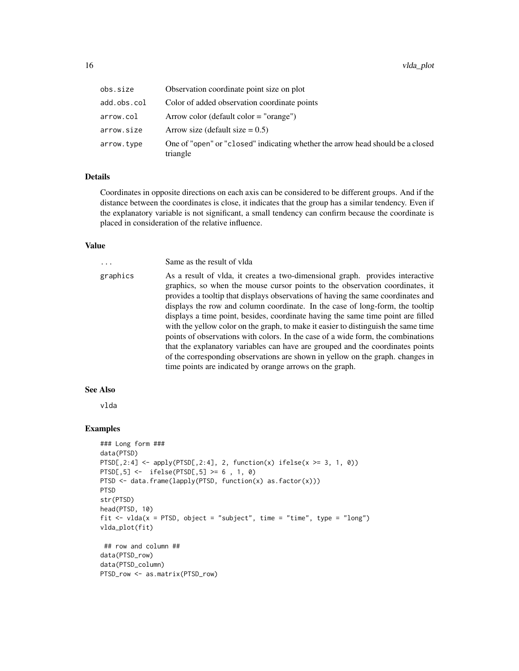| obs.size    | Observation coordinate point size on plot                                                  |
|-------------|--------------------------------------------------------------------------------------------|
| add.obs.col | Color of added observation coordinate points                                               |
| arrow.col   | Arrow color (default color $=$ "orange")                                                   |
| arrow.size  | Arrow size (default size $= 0.5$ )                                                         |
| arrow.type  | One of "open" or "closed" indicating whether the arrow head should be a closed<br>triangle |

#### Details

Coordinates in opposite directions on each axis can be considered to be different groups. And if the distance between the coordinates is close, it indicates that the group has a similar tendency. Even if the explanatory variable is not significant, a small tendency can confirm because the coordinate is placed in consideration of the relative influence.

#### Value

... Same as the result of vlda graphics As a result of vlda, it creates a two-dimensional graph. provides interactive graphics, so when the mouse cursor points to the observation coordinates, it provides a tooltip that displays observations of having the same coordinates and displays the row and column coordinate. In the case of long-form, the tooltip displays a time point, besides, coordinate having the same time point are filled with the yellow color on the graph, to make it easier to distinguish the same time points of observations with colors. In the case of a wide form, the combinations that the explanatory variables can have are grouped and the coordinates points of the corresponding observations are shown in yellow on the graph. changes in time points are indicated by orange arrows on the graph.

# See Also

vlda

#### Examples

```
### Long form ###
data(PTSD)
PTSD[, 2:4] \leq apply(PTSD[, 2:4], 2, function(x) ifelse(x >= 3, 1, 0))PTSD[,5] <- ifelse(PTSD[,5] >= 6 , 1, 0)
PTSD \leftarrow data.frame(lapply(PTSD, function(x) as.factor(x)))
PTSD
str(PTSD)
head(PTSD, 10)
fit \le vlda(x = PTSD, object = "subject", time = "time", type = "long")
vlda_plot(fit)
## row and column ##
data(PTSD_row)
data(PTSD_column)
PTSD_row <- as.matrix(PTSD_row)
```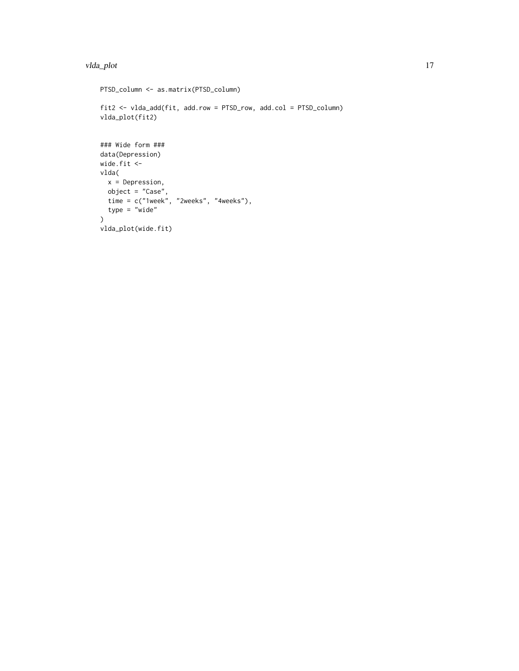#### vlda\_plot 17

```
PTSD_column <- as.matrix(PTSD_column)
fit2 <- vlda_add(fit, add.row = PTSD_row, add.col = PTSD_column)
vlda_plot(fit2)
### Wide form ###
data(Depression)
wide.fit <-
vlda(
  x = Depression,
 object = "Case",
 time = c("1week", "2weeks", "4weeks"),
  type = 'wide')
vlda_plot(wide.fit)
```